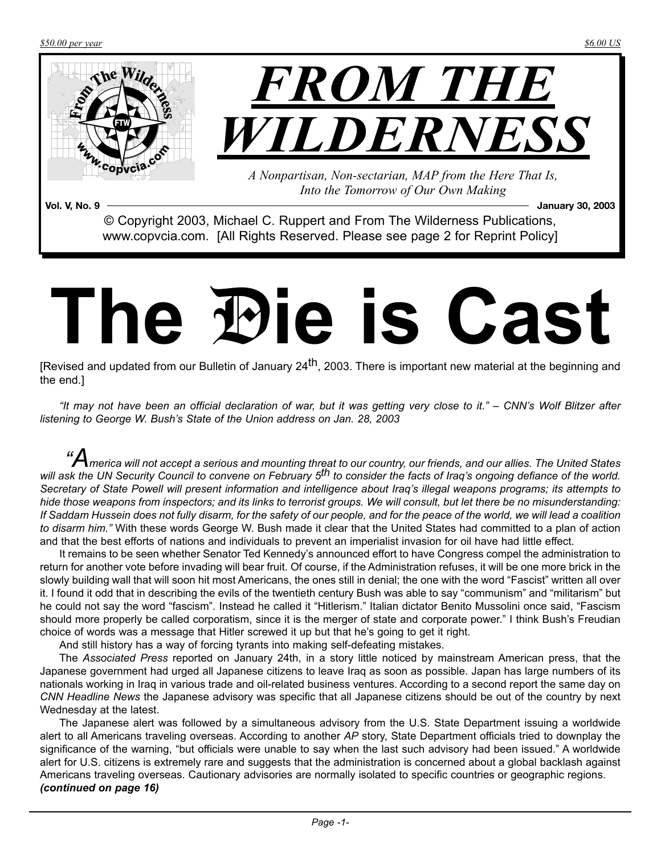*\$50.00 per year \$6.00 US*



**Vol. V, No. 9 January 30, 2003**

© Copyright 2003, Michael C. Ruppert and From The Wilderness Publications, www.copvcia.com. [All Rights Reserved. Please see page 2 for Reprint Policy]

# **The Die is Cast**

[Revised and updated from our Bulletin of January 24<sup>th</sup>, 2003. There is important new material at the beginning and the end.]

*"It may not have been an official declaration of war, but it was getting very close to it." – CNN's Wolf Blitzer after listening to George W. Bush's State of the Union address on Jan. 28, 2003*

 ${\mathbf 1}$ merica will not accept a serious and mounting threat to our country, our friends, and our allies. The United States *will ask the UN Security Council to convene on February 5th to consider the facts of Iraq's ongoing defiance of the world. Secretary of State Powell will present information and intelligence about Iraq's illegal weapons programs; its attempts to hide those weapons from inspectors; and its links to terrorist groups. We will consult, but let there be no misunderstanding: If Saddam Hussein does not fully disarm, for the safety of our people, and for the peace of the world, we will lead a coalition to disarm him."* With these words George W. Bush made it clear that the United States had committed to a plan of action and that the best efforts of nations and individuals to prevent an imperialist invasion for oil have had little effect.

It remains to be seen whether Senator Ted Kennedy's announced effort to have Congress compel the administration to return for another vote before invading will bear fruit. Of course, if the Administration refuses, it will be one more brick in the slowly building wall that will soon hit most Americans, the ones still in denial; the one with the word "Fascist" written all over it. I found it odd that in describing the evils of the twentieth century Bush was able to say "communism" and "militarism" but he could not say the word "fascism". Instead he called it "Hitlerism." Italian dictator Benito Mussolini once said, "Fascism should more properly be called corporatism, since it is the merger of state and corporate power." I think Bush's Freudian choice of words was a message that Hitler screwed it up but that he's going to get it right.

And still history has a way of forcing tyrants into making self-defeating mistakes.

The *Associated Press* reported on January 24th, in a story little noticed by mainstream American press, that the Japanese government had urged all Japanese citizens to leave Iraq as soon as possible. Japan has large numbers of its nationals working in Iraq in various trade and oil-related business ventures. According to a second report the same day on *CNN Headline News* the Japanese advisory was specific that all Japanese citizens should be out of the country by next Wednesday at the latest.

The Japanese alert was followed by a simultaneous advisory from the U.S. State Department issuing a worldwide alert to all Americans traveling overseas. According to another *AP* story, State Department officials tried to downplay the significance of the warning, "but officials were unable to say when the last such advisory had been issued." A worldwide alert for U.S. citizens is extremely rare and suggests that the administration is concerned about a global backlash against Americans traveling overseas. Cautionary advisories are normally isolated to specific countries or geographic regions. *(continued on page 16)*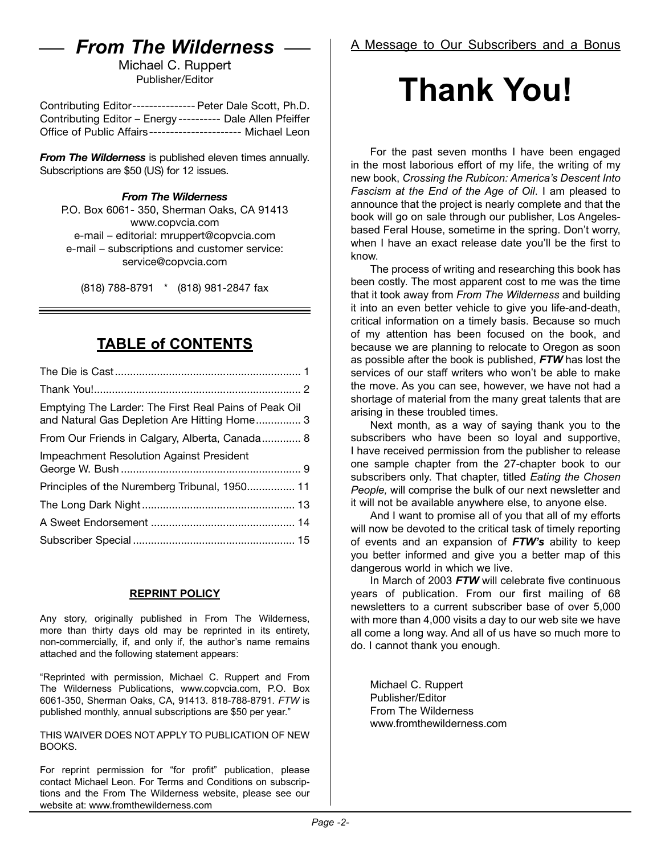### *From The Wilderness*

Michael C. Ruppert Publisher/Editor

Contributing Editor--------------- Peter Dale Scott, Ph.D. Contributing Editor – Energy ---------- Dale Allen Pfeiffer Office of Public Affairs---------------------- Michael Leon

*From The Wilderness* is published eleven times annually. Subscriptions are \$50 (US) for 12 issues.

#### *From The Wilderness*

P.O. Box 6061- 350, Sherman Oaks, CA 91413 [www.copvcia.com](http://www.copvcia.com) e-mail – editorial: mruppert@copvcia.com e-mail – subscriptions and customer service: service@copvcia.com

(818) 788-8791 \* (818) 981-2847 fax

#### **TABLE of CONTENTS**

| Emptying The Larder: The First Real Pains of Peak Oil<br>and Natural Gas Depletion Are Hitting Home 3 |
|-------------------------------------------------------------------------------------------------------|
| From Our Friends in Calgary, Alberta, Canada 8                                                        |
| <b>Impeachment Resolution Against President</b>                                                       |
| Principles of the Nuremberg Tribunal, 1950 11                                                         |
|                                                                                                       |
|                                                                                                       |
|                                                                                                       |

#### **REPRINT POLICY**

Any story, originally published in From The Wilderness, more than thirty days old may be reprinted in its entirety, non-commercially, if, and only if, the author's name remains attached and the following statement appears:

"Reprinted with permission, Michael C. Ruppert and From The Wilderness Publications, www.copvcia.com, P.O. Box 6061-350, Sherman Oaks, CA, 91413. 818-788-8791. *FTW* is published monthly, annual subscriptions are \$50 per year."

THIS WAIVER DOES NOT APPLY TO PUBLICATION OF NEW BOOKS.

For reprint permission for "for profit" publication, please contact Michael Leon. For Terms and Conditions on subscriptions and the From The Wilderness website, please see our website at: www.fromthewilderness.com

# **Thank You!**

For the past seven months I have been engaged in the most laborious effort of my life, the writing of my new book, *Crossing the Rubicon: America's Descent Into Fascism at the End of the Age of Oil*. I am pleased to announce that the project is nearly complete and that the book will go on sale through our publisher, Los Angelesbased Feral House, sometime in the spring. Don't worry, when I have an exact release date you'll be the first to know.

The process of writing and researching this book has been costly. The most apparent cost to me was the time that it took away from *From The Wilderness* and building it into an even better vehicle to give you life-and-death, critical information on a timely basis. Because so much of my attention has been focused on the book, and because we are planning to relocate to Oregon as soon as possible after the book is published, *FTW* has lost the services of our staff writers who won't be able to make the move. As you can see, however, we have not had a shortage of material from the many great talents that are arising in these troubled times.

Next month, as a way of saying thank you to the subscribers who have been so loyal and supportive, I have received permission from the publisher to release one sample chapter from the 27-chapter book to our subscribers only. That chapter, titled *Eating the Chosen People,* will comprise the bulk of our next newsletter and it will not be available anywhere else, to anyone else.

And I want to promise all of you that all of my efforts will now be devoted to the critical task of timely reporting of events and an expansion of *FTW's* ability to keep you better informed and give you a better map of this dangerous world in which we live.

In March of 2003 *FTW* will celebrate five continuous years of publication. From our first mailing of 68 newsletters to a current subscriber base of over 5,000 with more than 4,000 visits a day to our web site we have all come a long way. And all of us have so much more to do. I cannot thank you enough.

Michael C. Ruppert Publisher/Editor From The Wilderness [www.fromthewilderness.com](http://www.fromthewilderness.com)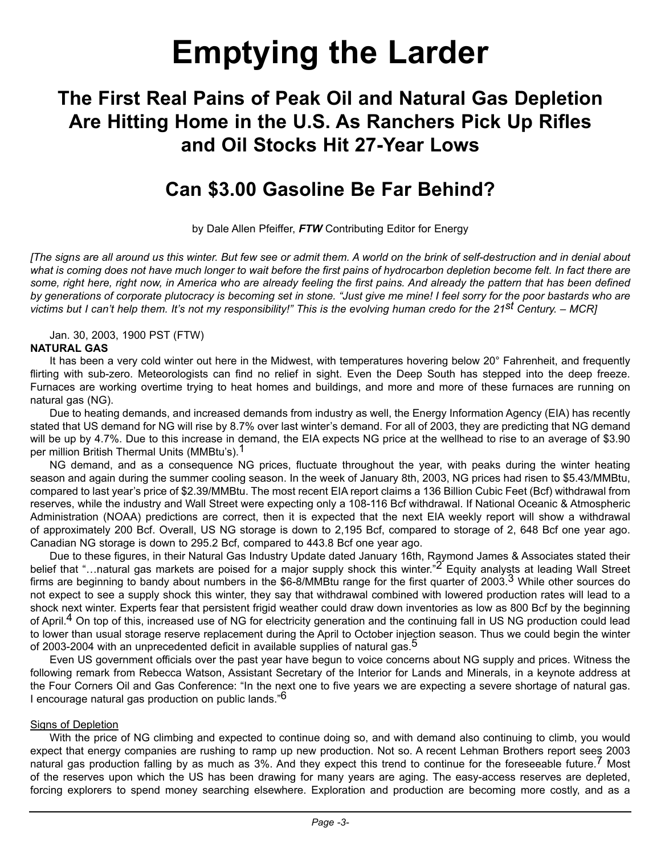# **Emptying the Larder**

### **The First Real Pains of Peak Oil and Natural Gas Depletion Are Hitting Home in the U.S. As Ranchers Pick Up Rifles and Oil Stocks Hit 27-Year Lows**

### **Can \$3.00 Gasoline Be Far Behind?**

by Dale Allen Pfeiffer, *FTW* Contributing Editor for Energy

*[The signs are all around us this winter. But few see or admit them. A world on the brink of self-destruction and in denial about what is coming does not have much longer to wait before the first pains of hydrocarbon depletion become felt. In fact there are some, right here, right now, in America who are already feeling the first pains. And already the pattern that has been defined by generations of corporate plutocracy is becoming set in stone. "Just give me mine! I feel sorry for the poor bastards who are victims but I can't help them. It's not my responsibility!" This is the evolving human credo for the 21st Century. – MCR]*

Jan. 30, 2003, 1900 PST (FTW)

#### **NATURAL GAS**

It has been a very cold winter out here in the Midwest, with temperatures hovering below 20° Fahrenheit, and frequently flirting with sub-zero. Meteorologists can find no relief in sight. Even the Deep South has stepped into the deep freeze. Furnaces are working overtime trying to heat homes and buildings, and more and more of these furnaces are running on natural gas (NG).

Due to heating demands, and increased demands from industry as well, the Energy Information Agency (EIA) has recently stated that US demand for NG will rise by 8.7% over last winter's demand. For all of 2003, they are predicting that NG demand will be up by 4.7%. Due to this increase in demand, the EIA expects NG price at the wellhead to rise to an average of \$3.90 per million British Thermal Units (MMBtu's).1

NG demand, and as a consequence NG prices, fluctuate throughout the year, with peaks during the winter heating season and again during the summer cooling season. In the week of January 8th, 2003, NG prices had risen to \$5.43/MMBtu, compared to last year's price of \$2.39/MMBtu. The most recent EIA report claims a 136 Billion Cubic Feet (Bcf) withdrawal from reserves, while the industry and Wall Street were expecting only a 108-116 Bcf withdrawal. If National Oceanic & Atmospheric Administration (NOAA) predictions are correct, then it is expected that the next EIA weekly report will show a withdrawal of approximately 200 Bcf. Overall, US NG storage is down to 2,195 Bcf, compared to storage of 2, 648 Bcf one year ago. Canadian NG storage is down to 295.2 Bcf, compared to 443.8 Bcf one year ago.

Due to these figures, in their Natural Gas Industry Update dated January 16th, Raymond James & Associates stated their belief that "…natural gas markets are poised for a major supply shock this winter."<sup>2</sup> Equity analysts at leading Wall Street firms are beginning to bandy about numbers in the \$6-8/MMBtu range for the first quarter of 2003.3 While other sources do not expect to see a supply shock this winter, they say that withdrawal combined with lowered production rates will lead to a shock next winter. Experts fear that persistent frigid weather could draw down inventories as low as 800 Bcf by the beginning of April.<sup>4</sup> On top of this, increased use of NG for electricity generation and the continuing fall in US NG production could lead to lower than usual storage reserve replacement during the April to October injection season. Thus we could begin the winter of 2003-2004 with an unprecedented deficit in available supplies of natural gas.<sup>5</sup>

Even US government officials over the past year have begun to voice concerns about NG supply and prices. Witness the following remark from Rebecca Watson, Assistant Secretary of the Interior for Lands and Minerals, in a keynote address at the Four Corners Oil and Gas Conference: "In the next one to five years we are expecting a severe shortage of natural gas. I encourage natural gas production on public lands."6

#### Signs of Depletion

With the price of NG climbing and expected to continue doing so, and with demand also continuing to climb, you would expect that energy companies are rushing to ramp up new production. Not so. A recent Lehman Brothers report sees 2003 natural gas production falling by as much as 3%. And they expect this trend to continue for the foreseeable future.<sup>7</sup> Most of the reserves upon which the US has been drawing for many years are aging. The easy-access reserves are depleted, forcing explorers to spend money searching elsewhere. Exploration and production are becoming more costly, and as a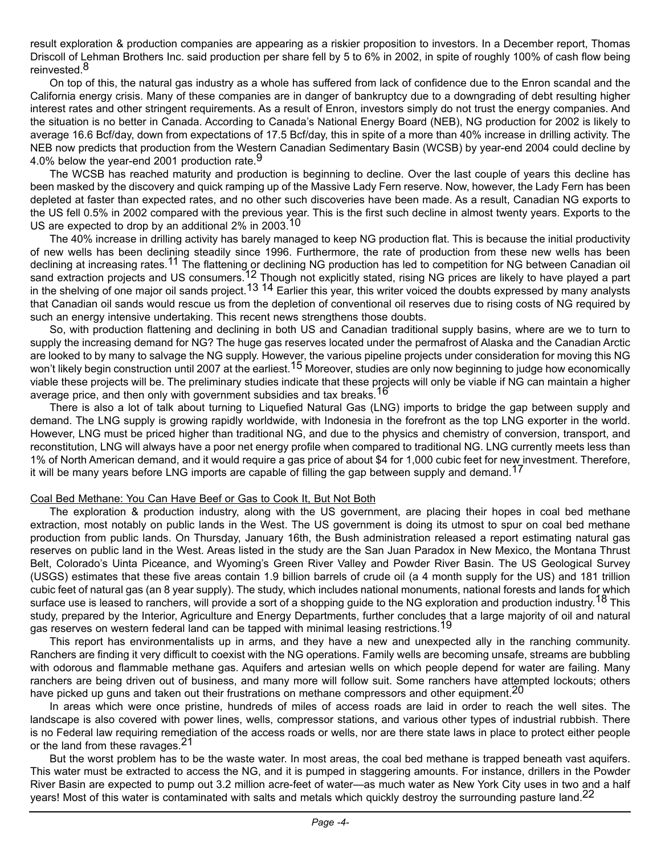result exploration & production companies are appearing as a riskier proposition to investors. In a December report, Thomas Driscoll of Lehman Brothers Inc. said production per share fell by 5 to 6% in 2002, in spite of roughly 100% of cash flow being reinvested.<sup>8</sup>

On top of this, the natural gas industry as a whole has suffered from lack of confidence due to the Enron scandal and the California energy crisis. Many of these companies are in danger of bankruptcy due to a downgrading of debt resulting higher interest rates and other stringent requirements. As a result of Enron, investors simply do not trust the energy companies. And the situation is no better in Canada. According to Canada's National Energy Board (NEB), NG production for 2002 is likely to average 16.6 Bcf/day, down from expectations of 17.5 Bcf/day, this in spite of a more than 40% increase in drilling activity. The NEB now predicts that production from the Western Canadian Sedimentary Basin (WCSB) by year-end 2004 could decline by 4.0% below the year-end 2001 production rate.<sup>9</sup>

The WCSB has reached maturity and production is beginning to decline. Over the last couple of years this decline has been masked by the discovery and quick ramping up of the Massive Lady Fern reserve. Now, however, the Lady Fern has been depleted at faster than expected rates, and no other such discoveries have been made. As a result, Canadian NG exports to the US fell 0.5% in 2002 compared with the previous year. This is the first such decline in almost twenty years. Exports to the US are expected to drop by an additional 2% in 2003.<sup>10</sup>

The 40% increase in drilling activity has barely managed to keep NG production flat. This is because the initial productivity of new wells has been declining steadily since 1996. Furthermore, the rate of production from these new wells has been declining at increasing rates.<sup>11</sup> The flattening or declining NG production has led to competition for NG between Canadian oil sand extraction projects and US consumers.<sup>12</sup> Though not explicitly stated, rising NG prices are likely to have played a part in the shelving of one major oil sands project.<sup>13 14</sup> Earlier this year, this writer voiced the doubts expressed by many analysts that Canadian oil sands would rescue us from the depletion of conventional oil reserves due to rising costs of NG required by such an energy intensive undertaking. This recent news strengthens those doubts.

So, with production flattening and declining in both US and Canadian traditional supply basins, where are we to turn to supply the increasing demand for NG? The huge gas reserves located under the permafrost of Alaska and the Canadian Arctic are looked to by many to salvage the NG supply. However, the various pipeline projects under consideration for moving this NG won't likely begin construction until 2007 at the earliest.<sup>15</sup> Moreover, studies are only now beginning to judge how economically viable these projects will be. The preliminary studies indicate that these projects will only be viable if NG can maintain a higher average price, and then only with government subsidies and tax breaks.<sup>16</sup>

There is also a lot of talk about turning to Liquefied Natural Gas (LNG) imports to bridge the gap between supply and demand. The LNG supply is growing rapidly worldwide, with Indonesia in the forefront as the top LNG exporter in the world. However, LNG must be priced higher than traditional NG, and due to the physics and chemistry of conversion, transport, and reconstitution, LNG will always have a poor net energy profile when compared to traditional NG. LNG currently meets less than 1% of North American demand, and it would require a gas price of about \$4 for 1,000 cubic feet for new investment. Therefore, it will be many years before LNG imports are capable of filling the gap between supply and demand.<sup>17</sup>

#### Coal Bed Methane: You Can Have Beef or Gas to Cook It, But Not Both

The exploration & production industry, along with the US government, are placing their hopes in coal bed methane extraction, most notably on public lands in the West. The US government is doing its utmost to spur on coal bed methane production from public lands. On Thursday, January 16th, the Bush administration released a report estimating natural gas reserves on public land in the West. Areas listed in the study are the San Juan Paradox in New Mexico, the Montana Thrust Belt, Colorado's Uinta Piceance, and Wyoming's Green River Valley and Powder River Basin. The US Geological Survey (USGS) estimates that these five areas contain 1.9 billion barrels of crude oil (a 4 month supply for the US) and 181 trillion cubic feet of natural gas (an 8 year supply). The study, which includes national monuments, national forests and lands for which surface use is leased to ranchers, will provide a sort of a shopping guide to the NG exploration and production industry.<sup>18</sup> This study, prepared by the Interior, Agriculture and Energy Departments, further concludes that a large majority of oil and natural gas reserves on western federal land can be tapped with minimal leasing restrictions.<sup>19</sup>

This report has environmentalists up in arms, and they have a new and unexpected ally in the ranching community. Ranchers are finding it very difficult to coexist with the NG operations. Family wells are becoming unsafe, streams are bubbling with odorous and flammable methane gas. Aquifers and artesian wells on which people depend for water are failing. Many ranchers are being driven out of business, and many more will follow suit. Some ranchers have attempted lockouts; others have picked up guns and taken out their frustrations on methane compressors and other equipment.<sup>20</sup>

In areas which were once pristine, hundreds of miles of access roads are laid in order to reach the well sites. The landscape is also covered with power lines, wells, compressor stations, and various other types of industrial rubbish. There is no Federal law requiring remediation of the access roads or wells, nor are there state laws in place to protect either people or the land from these ravages.<sup>21</sup>

But the worst problem has to be the waste water. In most areas, the coal bed methane is trapped beneath vast aquifers. This water must be extracted to access the NG, and it is pumped in staggering amounts. For instance, drillers in the Powder River Basin are expected to pump out 3.2 million acre-feet of water—as much water as New York City uses in two and a half years! Most of this water is contaminated with salts and metals which quickly destroy the surrounding pasture land.<sup>22</sup>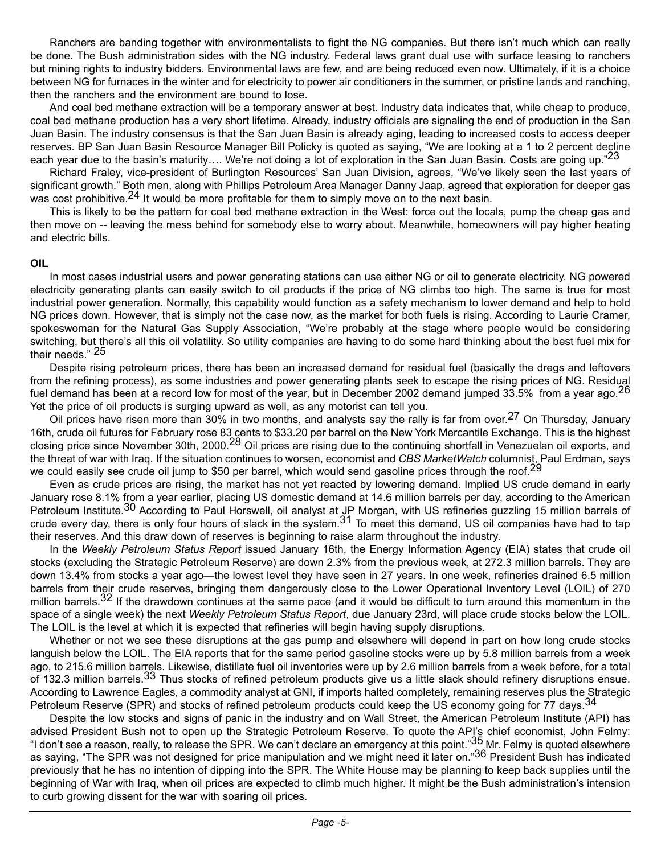Ranchers are banding together with environmentalists to fight the NG companies. But there isn't much which can really be done. The Bush administration sides with the NG industry. Federal laws grant dual use with surface leasing to ranchers but mining rights to industry bidders. Environmental laws are few, and are being reduced even now. Ultimately, if it is a choice between NG for furnaces in the winter and for electricity to power air conditioners in the summer, or pristine lands and ranching, then the ranchers and the environment are bound to lose.

And coal bed methane extraction will be a temporary answer at best. Industry data indicates that, while cheap to produce, coal bed methane production has a very short lifetime. Already, industry officials are signaling the end of production in the San Juan Basin. The industry consensus is that the San Juan Basin is already aging, leading to increased costs to access deeper reserves. BP San Juan Basin Resource Manager Bill Policky is quoted as saying, "We are looking at a 1 to 2 percent decline each year due to the basin's maturity.... We're not doing a lot of exploration in the San Juan Basin. Costs are going up."<sup>23</sup>

Richard Fraley, vice-president of Burlington Resources' San Juan Division, agrees, "We've likely seen the last years of significant growth." Both men, along with Phillips Petroleum Area Manager Danny Jaap, agreed that exploration for deeper gas was cost prohibitive.<sup>24</sup> It would be more profitable for them to simply move on to the next basin.

This is likely to be the pattern for coal bed methane extraction in the West: force out the locals, pump the cheap gas and then move on -- leaving the mess behind for somebody else to worry about. Meanwhile, homeowners will pay higher heating and electric bills.

#### **OIL**

In most cases industrial users and power generating stations can use either NG or oil to generate electricity. NG powered electricity generating plants can easily switch to oil products if the price of NG climbs too high. The same is true for most industrial power generation. Normally, this capability would function as a safety mechanism to lower demand and help to hold NG prices down. However, that is simply not the case now, as the market for both fuels is rising. According to Laurie Cramer, spokeswoman for the Natural Gas Supply Association, "We're probably at the stage where people would be considering switching, but there's all this oil volatility. So utility companies are having to do some hard thinking about the best fuel mix for their needs." 25

Despite rising petroleum prices, there has been an increased demand for residual fuel (basically the dregs and leftovers from the refining process), as some industries and power generating plants seek to escape the rising prices of NG. Residual fuel demand has been at a record low for most of the year, but in December 2002 demand jumped 33.5% from a year ago.<sup>26</sup> Yet the price of oil products is surging upward as well, as any motorist can tell you.

Oil prices have risen more than 30% in two months, and analysts say the rally is far from over.<sup>27</sup> On Thursday, January 16th, crude oil futures for February rose 83 cents to \$33.20 per barrel on the New York Mercantile Exchange. This is the highest closing price since November 30th, 2000.<sup>28</sup> Oil prices are rising due to the continuing shortfall in Venezuelan oil exports, and the threat of war with Iraq. If the situation continues to worsen, economist and *CBS MarketWatch* columnist, Paul Erdman, says we could easily see crude oil jump to \$50 per barrel, which would send gasoline prices through the roof.<sup>29</sup>

Even as crude prices are rising, the market has not yet reacted by lowering demand. Implied US crude demand in early January rose 8.1% from a year earlier, placing US domestic demand at 14.6 million barrels per day, according to the American Petroleum Institute.<sup>30</sup> According to Paul Horswell, oil analyst at JP Morgan, with US refineries guzzling 15 million barrels of crude every day, there is only four hours of slack in the system.<sup>31</sup> To meet this demand, US oil companies have had to tap their reserves. And this draw down of reserves is beginning to raise alarm throughout the industry.

In the *Weekly Petroleum Status Report* issued January 16th, the Energy Information Agency (EIA) states that crude oil stocks (excluding the Strategic Petroleum Reserve) are down 2.3% from the previous week, at 272.3 million barrels. They are down 13.4% from stocks a year ago—the lowest level they have seen in 27 years. In one week, refineries drained 6.5 million barrels from their crude reserves, bringing them dangerously close to the Lower Operational Inventory Level (LOIL) of 270 million barrels.<sup>32</sup> If the drawdown continues at the same pace (and it would be difficult to turn around this momentum in the space of a single week) the next *Weekly Petroleum Status Report*, due January 23rd, will place crude stocks below the LOIL. The LOIL is the level at which it is expected that refineries will begin having supply disruptions.

Whether or not we see these disruptions at the gas pump and elsewhere will depend in part on how long crude stocks languish below the LOIL. The EIA reports that for the same period gasoline stocks were up by 5.8 million barrels from a week ago, to 215.6 million barrels. Likewise, distillate fuel oil inventories were up by 2.6 million barrels from a week before, for a total of 132.3 million barrels.<sup>33</sup> Thus stocks of refined petroleum products give us a little slack should refinery disruptions ensue. According to Lawrence Eagles, a commodity analyst at GNI, if imports halted completely, remaining reserves plus the Strategic Petroleum Reserve (SPR) and stocks of refined petroleum products could keep the US economy going for 77 days.<sup>34</sup>

Despite the low stocks and signs of panic in the industry and on Wall Street, the American Petroleum Institute (API) has advised President Bush not to open up the Strategic Petroleum Reserve. To quote the API's chief economist, John Felmy: "I don't see a reason, really, to release the SPR. We can't declare an emergency at this point."35 Mr. Felmy is quoted elsewhere as saying, "The SPR was not designed for price manipulation and we might need it later on."36 President Bush has indicated previously that he has no intention of dipping into the SPR. The White House may be planning to keep back supplies until the beginning of War with Iraq, when oil prices are expected to climb much higher. It might be the Bush administration's intension to curb growing dissent for the war with soaring oil prices.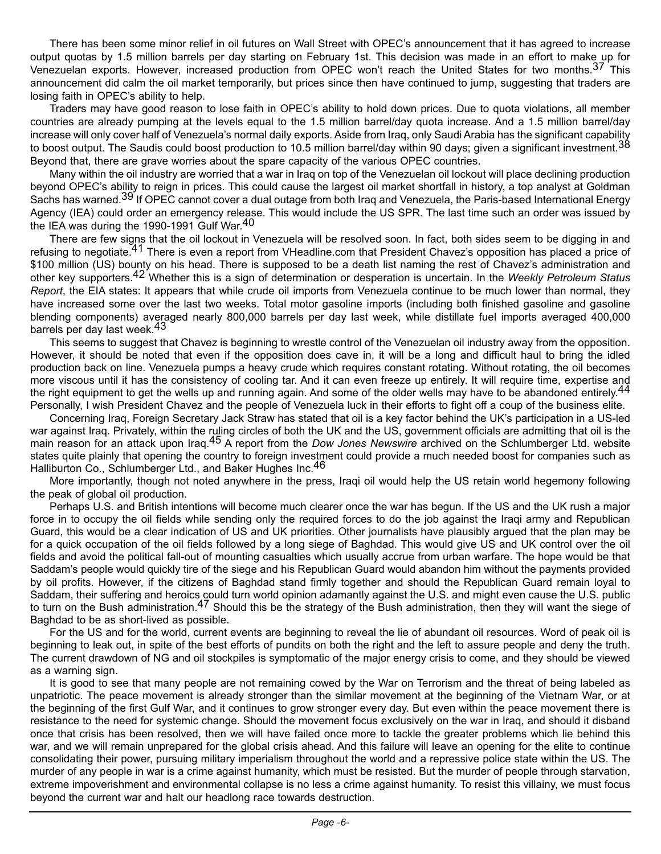There has been some minor relief in oil futures on Wall Street with OPEC's announcement that it has agreed to increase output quotas by 1.5 million barrels per day starting on February 1st. This decision was made in an effort to make up for Venezuelan exports. However, increased production from OPEC won't reach the United States for two months.37 This announcement did calm the oil market temporarily, but prices since then have continued to jump, suggesting that traders are losing faith in OPEC's ability to help.

Traders may have good reason to lose faith in OPEC's ability to hold down prices. Due to quota violations, all member countries are already pumping at the levels equal to the 1.5 million barrel/day quota increase. And a 1.5 million barrel/day increase will only cover half of Venezuela's normal daily exports. Aside from Iraq, only Saudi Arabia has the significant capability to boost output. The Saudis could boost production to 10.5 million barrel/day within 90 days; given a significant investment. 38 Beyond that, there are grave worries about the spare capacity of the various OPEC countries.

Many within the oil industry are worried that a war in Iraq on top of the Venezuelan oil lockout will place declining production beyond OPEC's ability to reign in prices. This could cause the largest oil market shortfall in history, a top analyst at Goldman Sachs has warned.<sup>39</sup> If OPEC cannot cover a dual outage from both Iraq and Venezuela, the Paris-based International Energy Agency (IEA) could order an emergency release. This would include the US SPR. The last time such an order was issued by the IEA was during the 1990-1991 Gulf War.<sup>40</sup>

There are few signs that the oil lockout in Venezuela will be resolved soon. In fact, both sides seem to be digging in and refusing to negotiate.<sup>41</sup> There is even a report from VHeadline.com that President Chavez's opposition has placed a price of \$100 million (US) bounty on his head. There is supposed to be a death list naming the rest of Chavez's administration and other key supporters.42 Whether this is a sign of determination or desperation is uncertain. In the *Weekly Petroleum Status Report*, the EIA states: It appears that while crude oil imports from Venezuela continue to be much lower than normal, they have increased some over the last two weeks. Total motor gasoline imports (including both finished gasoline and gasoline blending components) averaged nearly 800,000 barrels per day last week, while distillate fuel imports averaged 400,000 barrels per day last week.<sup>43</sup>

This seems to suggest that Chavez is beginning to wrestle control of the Venezuelan oil industry away from the opposition. However, it should be noted that even if the opposition does cave in, it will be a long and difficult haul to bring the idled production back on line. Venezuela pumps a heavy crude which requires constant rotating. Without rotating, the oil becomes more viscous until it has the consistency of cooling tar. And it can even freeze up entirely. It will require time, expertise and the right equipment to get the wells up and running again. And some of the older wells may have to be abandoned entirely.<sup>44</sup> Personally, I wish President Chavez and the people of Venezuela luck in their efforts to fight off a coup of the business elite.

Concerning Iraq, Foreign Secretary Jack Straw has stated that oil is a key factor behind the UK's participation in a US-led war against Iraq. Privately, within the ruling circles of both the UK and the US, government officials are admitting that oil is the main reason for an attack upon Iraq.45 A report from the *Dow Jones Newswire* archived on the Schlumberger Ltd. website states quite plainly that opening the country to foreign investment could provide a much needed boost for companies such as Halliburton Co., Schlumberger Ltd., and Baker Hughes Inc.<sup>46</sup>

More importantly, though not noted anywhere in the press, Iraqi oil would help the US retain world hegemony following the peak of global oil production.

Perhaps U.S. and British intentions will become much clearer once the war has begun. If the US and the UK rush a major force in to occupy the oil fields while sending only the required forces to do the job against the Iraqi army and Republican Guard, this would be a clear indication of US and UK priorities. Other journalists have plausibly argued that the plan may be for a quick occupation of the oil fields followed by a long siege of Baghdad. This would give US and UK control over the oil fields and avoid the political fall-out of mounting casualties which usually accrue from urban warfare. The hope would be that Saddam's people would quickly tire of the siege and his Republican Guard would abandon him without the payments provided by oil profits. However, if the citizens of Baghdad stand firmly together and should the Republican Guard remain loyal to Saddam, their suffering and heroics could turn world opinion adamantly against the U.S. and might even cause the U.S. public to turn on the Bush administration.47 Should this be the strategy of the Bush administration, then they will want the siege of Baghdad to be as short-lived as possible.

For the US and for the world, current events are beginning to reveal the lie of abundant oil resources. Word of peak oil is beginning to leak out, in spite of the best efforts of pundits on both the right and the left to assure people and deny the truth. The current drawdown of NG and oil stockpiles is symptomatic of the major energy crisis to come, and they should be viewed as a warning sign.

It is good to see that many people are not remaining cowed by the War on Terrorism and the threat of being labeled as unpatriotic. The peace movement is already stronger than the similar movement at the beginning of the Vietnam War, or at the beginning of the first Gulf War, and it continues to grow stronger every day. But even within the peace movement there is resistance to the need for systemic change. Should the movement focus exclusively on the war in Iraq, and should it disband once that crisis has been resolved, then we will have failed once more to tackle the greater problems which lie behind this war, and we will remain unprepared for the global crisis ahead. And this failure will leave an opening for the elite to continue consolidating their power, pursuing military imperialism throughout the world and a repressive police state within the US. The murder of any people in war is a crime against humanity, which must be resisted. But the murder of people through starvation, extreme impoverishment and environmental collapse is no less a crime against humanity. To resist this villainy, we must focus beyond the current war and halt our headlong race towards destruction.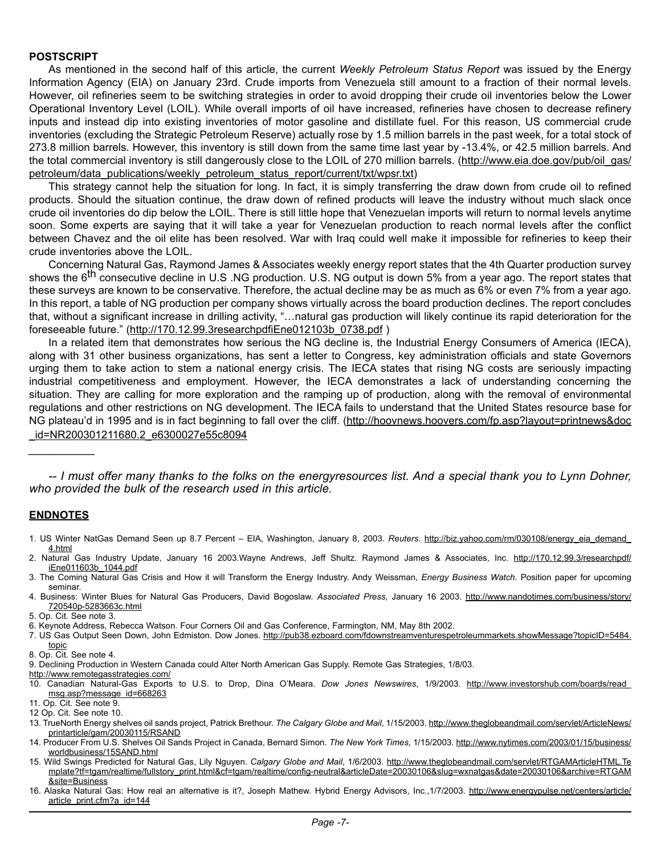#### **POSTSCRIPT**

As mentioned in the second half of this article, the current *Weekly Petroleum Status Report* was issued by the Energy Information Agency (EIA) on January 23rd. Crude imports from Venezuela still amount to a fraction of their normal levels. However, oil refineries seem to be switching strategies in order to avoid dropping their crude oil inventories below the Lower Operational Inventory Level (LOIL). While overall imports of oil have increased, refineries have chosen to decrease refinery inputs and instead dip into existing inventories of motor gasoline and distillate fuel. For this reason, US commercial crude inventories (excluding the Strategic Petroleum Reserve) actually rose by 1.5 million barrels in the past week, for a total stock of 273.8 million barrels. However, this inventory is still down from the same time last year by -13.4%, or 42.5 million barrels. And the total commercial inventory is still dangerously close to the LOIL of 270 million barrels. ([http://www.eia.doe.gov/pub/oil\\_gas/](http://www.eia.doe.gov/pub/oil_gas/petroleum/data_publications/weekly_petroleum_status_report/current/txt/wpsr.txt) [petroleum/data\\_publications/weekly\\_petroleum\\_status\\_report/current/txt/wpsr.txt](http://www.eia.doe.gov/pub/oil_gas/petroleum/data_publications/weekly_petroleum_status_report/current/txt/wpsr.txt))

This strategy cannot help the situation for long. In fact, it is simply transferring the draw down from crude oil to refined products. Should the situation continue, the draw down of refined products will leave the industry without much slack once crude oil inventories do dip below the LOIL. There is still little hope that Venezuelan imports will return to normal levels anytime soon. Some experts are saying that it will take a year for Venezuelan production to reach normal levels after the conflict between Chavez and the oil elite has been resolved. War with Iraq could well make it impossible for refineries to keep their crude inventories above the LOIL.

Concerning Natural Gas, Raymond James & Associates weekly energy report states that the 4th Quarter production survey shows the 6<sup>th</sup> consecutive decline in U.S .NG production. U.S. NG output is down 5% from a year ago. The report states that these surveys are known to be conservative. Therefore, the actual decline may be as much as 6% or even 7% from a year ago. In this report, a table of NG production per company shows virtually across the board production declines. The report concludes that, without a significant increase in drilling activity, "…natural gas production will likely continue its rapid deterioration for the foreseeable future." [\(http://170.12.99.3researchpdfiEne012103b\\_0738.pdf](http://170.12.99.3researchpdfiEne012103b_0738.pdf) )

In a related item that demonstrates how serious the NG decline is, the Industrial Energy Consumers of America (IECA), along with 31 other business organizations, has sent a letter to Congress, key administration officials and state Governors urging them to take action to stem a national energy crisis. The IECA states that rising NG costs are seriously impacting industrial competitiveness and employment. However, the IECA demonstrates a lack of understanding concerning the situation. They are calling for more exploration and the ramping up of production, along with the removal of environmental regulations and other restrictions on NG development. The IECA fails to understand that the United States resource base for NG plateau'd in 1995 and is in fact beginning to fall over the cliff. [\(http://hoovnews.hoovers.com/fp.asp?layout=printnews&doc](http://hoovnews.hoovers.com/fp.asp?layout=printnews&doc_id=NR200301211680.2_e6300027e55c8094) [\\_id=NR200301211680.2\\_e6300027e55c8094](http://hoovnews.hoovers.com/fp.asp?layout=printnews&doc_id=NR200301211680.2_e6300027e55c8094)

*-- I must offer many thanks to the folks on the energyresources list. And a special thank you to Lynn Dohner, who provided the bulk of the research used in this article.*

#### **ENDNOTES**

*\_\_\_\_\_\_\_\_\_\_*

<http://www.remotegasstrategies.com/>

<sup>1.</sup> US Winter NatGas Demand Seen up 8.7 Percent – EIA, Washington, January 8, 2003. *Reuters*. [http://biz.yahoo.com/rm/030108/energy\\_eia\\_demand\\_](http://biz.yahoo.com/rm/030108/energy_eia_demand_4.html) [4.html](http://biz.yahoo.com/rm/030108/energy_eia_demand_4.html)

<sup>2.</sup> Natural Gas Industry Update, January 16 2003. Wayne Andrews, Jeff Shultz. Raymond James & Associates, Inc. [http://170.12.99.3/researchpdf/](http://170.12.99.3/researchpdf/iEne011603b_1044.pdf) [iEne011603b\\_1044.pdf](http://170.12.99.3/researchpdf/iEne011603b_1044.pdf)

<sup>3.</sup> The Coming Natural Gas Crisis and How it will Transform the Energy Industry. Andy Weissman, *Energy Business Watch*. Position paper for upcoming seminar.

<sup>4.</sup> Business: Winter Blues for Natural Gas Producers, David Bogoslaw. *Associated Press*, January 16 2003. [http://www.nandotimes.com/business/story/](http://www.nandotimes.com/business/story/720540p-5283663c.html) [720540p-5283663c.html](http://www.nandotimes.com/business/story/720540p-5283663c.html)

<sup>5.</sup> Op. Cit. See note 3.

<sup>6.</sup> Keynote Address, Rebecca Watson. Four Corners Oil and Gas Conference, Farmington, NM, May 8th 2002.

<sup>7.</sup> US Gas Output Seen Down, John Edmiston. Dow Jones. [http://pub38.ezboard.com/fdownstreamventurespetroleummarkets.showMessage?topicID=5484.](http://pub38.ezboard.com/fdownstreamventurespetroleummarkets.showMessage?topicID=5484.topic) [topic](http://pub38.ezboard.com/fdownstreamventurespetroleummarkets.showMessage?topicID=5484.topic)

<sup>8.</sup> Op. Cit. See note 4.

<sup>9.</sup> Declining Production in Western Canada could Alter North American Gas Supply. Remote Gas Strategies, 1/8/03.

<sup>10.</sup> Canadian Natural-Gas Exports to U.S. to Drop, Dina O'Meara. *Dow Jones Newswires*, 1/9/2003. [http://www.investorshub.com/boards/read\\_](http://www.investorshub.com/boards/read_msg.asp?message_id=668263) [msg.asp?message\\_id=668263](http://www.investorshub.com/boards/read_msg.asp?message_id=668263)

<sup>11.</sup> Op. Cit. See note 9.

<sup>12</sup> Op. Cit. See note 10.

<sup>13.</sup> TrueNorth Energy shelves oil sands project, Patrick Brethour. *The Calgary Globe and Mail*, 1/15/2003. [http://www.theglobeandmail.com/servlet/ArticleNews/](http://www.theglobeandmail.com/servlet/ArticleNews/printarticle/gam/20030115/RSAND) [printarticle/gam/20030115/RSAND](http://www.theglobeandmail.com/servlet/ArticleNews/printarticle/gam/20030115/RSAND)

<sup>14.</sup> Producer From U.S. Shelves Oil Sands Project in Canada, Bernard Simon. *The New York Times*, 1/15/2003. [http://www.nytimes.com/2003/01/15/business/](http://www.nytimes.com/2003/01/15/business/worldbusiness/15SAND.html) [worldbusiness/15SAND.html](http://www.nytimes.com/2003/01/15/business/worldbusiness/15SAND.html)

<sup>15.</sup> Wild Swings Predicted for Natural Gas, Lily Nguyen. *Calgary Globe and Mail*, 1/6/2003. [http://www.theglobeandmail.com/servlet/RTGAMArticleHTML.Te](http://www.theglobeandmail.com/servlet/RTGAMArticleHTML.Template?tf=tgam/realtime/fullstory_print.html&cf=tgam/realtime/config-neutral&articleDate=20030106&slug=wxnatgas&date=20030106&archive=RTGAM&site=Business) [mplate?tf=tgam/realtime/fullstory\\_print.html&cf=tgam/realtime/config-neutral&articleDate=20030106&slug=wxnatgas&date=20030106&archive=RTGAM](http://www.theglobeandmail.com/servlet/RTGAMArticleHTML.Template?tf=tgam/realtime/fullstory_print.html&cf=tgam/realtime/config-neutral&articleDate=20030106&slug=wxnatgas&date=20030106&archive=RTGAM&site=Business) [&site=Business](http://www.theglobeandmail.com/servlet/RTGAMArticleHTML.Template?tf=tgam/realtime/fullstory_print.html&cf=tgam/realtime/config-neutral&articleDate=20030106&slug=wxnatgas&date=20030106&archive=RTGAM&site=Business)

<sup>16.</sup> Alaska Natural Gas: How real an alternative is it?, Joseph Mathew. Hybrid Energy Advisors, Inc.,1/7/2003. [http://www.energypulse.net/centers/article/](http://www.energypulse.net/centers/article/article_print.cfm?a_id=144) [article\\_print.cfm?a\\_id=144](http://www.energypulse.net/centers/article/article_print.cfm?a_id=144)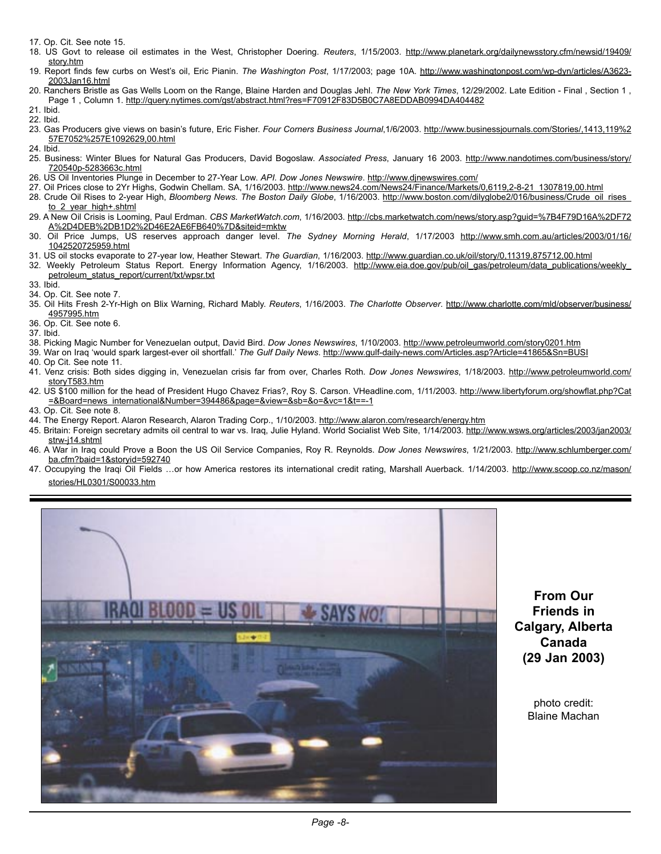- 17. Op. Cit. See note 15.
- 18. US Govt to release oil estimates in the West, Christopher Doering. *Reuters*, 1/15/2003. [http://www.planetark.org/dailynewsstory.cfm/newsid/19409/](http://www.planetark.org/dailynewsstory.cfm/newsid/19409/story.htm) [story.htm](http://www.planetark.org/dailynewsstory.cfm/newsid/19409/story.htm)
- 19. Report finds few curbs on West's oil, Eric Pianin. *The Washington Post*, 1/17/2003; page 10A. [http://www.washingtonpost.com/wp-dyn/articles/A3623-](http://www.washingtonpost.com/wp-dyn/articles/A3623-2003Jan16.html) [2003Jan16.html](http://www.washingtonpost.com/wp-dyn/articles/A3623-2003Jan16.html)
- 20. Ranchers Bristle as Gas Wells Loom on the Range, Blaine Harden and Douglas Jehl. *The New York Times*, 12/29/2002. Late Edition Final , Section 1 , Page 1, Column 1. <http://query.nytimes.com/gst/abstract.html?res=F70912F83D5B0C7A8EDDAB0994DA404482>

21. Ibid.

- 22. Ibid.
- 23. Gas Producers give views on basin's future, Eric Fisher. *Four Corners Business Journal*,1/6/2003. [http://www.businessjournals.com/Stories/,1413,119%2](http://www.businessjournals.com/Stories/,1413,119%257E7052%257E1092629,00.html) [57E7052%257E1092629,00.html](http://www.businessjournals.com/Stories/,1413,119%257E7052%257E1092629,00.html)
- 24. Ibid.
- 25. Business: Winter Blues for Natural Gas Producers, David Bogoslaw. *Associated Press*, January 16 2003. [http://www.nandotimes.com/business/story/](http://www.nandotimes.com/business/story/720540p-5283663c.html) [720540p-5283663c.html](http://www.nandotimes.com/business/story/720540p-5283663c.html)
- 26. US Oil Inventories Plunge in December to 27-Year Low. *API. Dow Jones Newswire*. <http://www.djnewswires.com/>
- 27. Oil Prices close to 2Yr Highs, Godwin Chellam. SA, 1/16/2003. [http://www.news24.com/News24/Finance/Markets/0,6119,2-8-21\\_1307819,00.html](http://www.news24.com/News24/Finance/Markets/0,6119,2-8-21_1307819,00.html)
- 28. Crude Oil Rises to 2-year High, Bloomberg News. The Boston Daily Globe, 1/16/2003. [http://www.boston.com/dilyglobe2/016/business/Crude\\_oil\\_rises\\_](http://www.boston.com/dilyglobe2/016/business/Crude_oil_rises_to_2_year_high+.shtml) [to\\_2\\_year\\_high+.shtml](http://www.boston.com/dilyglobe2/016/business/Crude_oil_rises_to_2_year_high+.shtml)
- 29. A New Oil Crisis is Looming, Paul Erdman. *CBS MarketWatch.com*, 1/16/2003. [http://cbs.marketwatch.com/news/story.asp?guid=%7B4F79D16A%2DF72](http://cbs.marketwatch.com/news/story.asp?guid=%7B4F79D16A%2DF72A%2D4DEB%2DB1D2%2D46E2AE6FB640%7D&siteid=mktw) [A%2D4DEB%2DB1D2%2D46E2AE6FB640%7D&siteid=mktw](http://cbs.marketwatch.com/news/story.asp?guid=%7B4F79D16A%2DF72A%2D4DEB%2DB1D2%2D46E2AE6FB640%7D&siteid=mktw)
- 30. Oil Price Jumps, US reserves approach danger level. *The Sydney Morning Herald*, 1/17/2003 [http://www.smh.com.au/articles/2003/01/16/](http://www.smh.com.au/articles/2003/01/16/1042520725959.html) [1042520725959.html](http://www.smh.com.au/articles/2003/01/16/1042520725959.html)
- 31. US oil stocks evaporate to 27-year low, Heather Stewart. *The Guardian*, 1/16/2003.<http://www.guardian.co.uk/oil/story/0,11319,875712,00.html>
- 32. Weekly Petroleum Status Report. Energy Information Agency, 1/16/2003. [http://www.eia.doe.gov/pub/oil\\_gas/petroleum/data\\_publications/weekly\\_](http://www.eia.doe.gov/pub/oil_gas/petroleum/data_publications/weekly_petroleum_status_report/current/txt/wpsr.txt) [petroleum\\_status\\_report/current/txt/wpsr.txt](http://www.eia.doe.gov/pub/oil_gas/petroleum/data_publications/weekly_petroleum_status_report/current/txt/wpsr.txt)
- 33. Ibid.
- 34. Op. Cit. See note 7.
- 35. Oil Hits Fresh 2-Yr-High on Blix Warning, Richard Mably. *Reuters*, 1/16/2003. *The Charlotte Observer*. [http://www.charlotte.com/mld/observer/business/](http://www.charlotte.com/mld/observer/business/4957995.htm) [4957995.htm](http://www.charlotte.com/mld/observer/business/4957995.htm)
- 36. Op. Cit. See note 6.
- 37. Ibid.
- 38. Picking Magic Number for Venezuelan output, David Bird. *Dow Jones Newswires*, 1/10/2003. <http://www.petroleumworld.com/story0201.htm>
- 39. War on Iraq 'would spark largest-ever oil shortfall.' *The Gulf Daily News*. <http://www.gulf-daily-news.com/Articles.asp?Article=41865&Sn=BUSI>
- 40. Op Cit. See note 11.
- 41. Venz crisis: Both sides digging in, Venezuelan crisis far from over, Charles Roth. *Dow Jones Newswires*, 1/18/2003. [http://www.petroleumworld.com/](http://www.petroleumworld.com/storyT583.htm) [storyT583.htm](http://www.petroleumworld.com/storyT583.htm)
- 42. US \$100 million for the head of President Hugo Chavez Frias?, Roy S. Carson. VHeadline.com, 1/11/2003. [http://www.libertyforum.org/showflat.php?Cat](http://www.libertyforum.org/showflat.php?Cat=&Board=news_international&Number=394486&page=&view=&sb=&o=&vc=1&t==-1) [=&Board=news\\_international&Number=394486&page=&view=&sb=&o=&vc=1&t==-1](http://www.libertyforum.org/showflat.php?Cat=&Board=news_international&Number=394486&page=&view=&sb=&o=&vc=1&t==-1)
- 43. Op. Cit. See note 8.
- 44. The Energy Report. Alaron Research, Alaron Trading Corp., 1/10/2003. <http://www.alaron.com/research/energy.htm>
- 45. Britain: Foreign secretary admits oil central to war vs. Iraq, Julie Hyland. World Socialist Web Site, 1/14/2003. [http://www.wsws.org/articles/2003/jan2003/](http://www.wsws.org/articles/2003/jan2003/strw-j14.shtml) [strw-j14.shtml](http://www.wsws.org/articles/2003/jan2003/strw-j14.shtml)
- 46. A War in Iraq could Prove a Boon the US Oil Service Companies, Roy R. Reynolds. *Dow Jones Newswires*, 1/21/2003. [http://www.schlumberger.com/](http://www.schlumberger.com/ba.cfm?baid=1&storyid=592740) [ba.cfm?baid=1&storyid=592740](http://www.schlumberger.com/ba.cfm?baid=1&storyid=592740)
- 47. Occupying the Iraqi Oil Fields ...or how America restores its international credit rating, Marshall Auerback. 1/14/2003. [http://www.scoop.co.nz/mason/](http://www.scoop.co.nz/mason/stories/HL0301/S00033.htm) [stories/HL0301/S00033.htm](http://www.scoop.co.nz/mason/stories/HL0301/S00033.htm)



**From Our Friends in Calgary, Alberta Canada (29 Jan 2003)**

> photo credit: Blaine Machan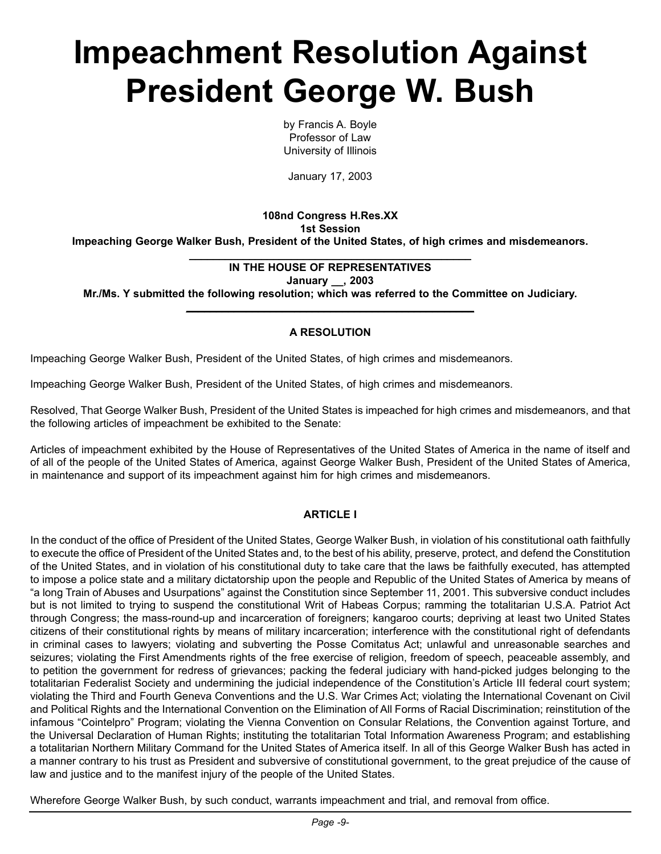# **Impeachment Resolution Against President George W. Bush**

by Francis A. Boyle Professor of Law University of Illinois

January 17, 2003

**108nd Congress H.Res.XX 1st Session Impeaching George Walker Bush, President of the United States, of high crimes and misdemeanors.**

#### \_\_\_\_\_\_\_\_\_\_\_\_\_\_\_\_\_\_\_\_\_\_\_\_\_\_\_\_\_\_\_\_\_\_\_\_\_\_\_\_\_\_\_\_\_\_\_ **IN THE HOUSE OF REPRESENTATIVES**

**January \_\_, 2003**

**Mr./Ms. Y submitted the following resolution; which was referred to the Committee on Judiciary.** \_\_\_\_\_\_\_\_\_\_\_\_\_\_\_\_\_\_\_\_\_\_\_\_\_\_\_\_\_\_\_\_\_\_\_\_\_\_\_\_\_\_\_\_\_\_\_\_

#### **A RESOLUTION**

Impeaching George Walker Bush, President of the United States, of high crimes and misdemeanors.

Impeaching George Walker Bush, President of the United States, of high crimes and misdemeanors.

Resolved, That George Walker Bush, President of the United States is impeached for high crimes and misdemeanors, and that the following articles of impeachment be exhibited to the Senate:

Articles of impeachment exhibited by the House of Representatives of the United States of America in the name of itself and of all of the people of the United States of America, against George Walker Bush, President of the United States of America, in maintenance and support of its impeachment against him for high crimes and misdemeanors.

#### **ARTICLE I**

In the conduct of the office of President of the United States, George Walker Bush, in violation of his constitutional oath faithfully to execute the office of President of the United States and, to the best of his ability, preserve, protect, and defend the Constitution of the United States, and in violation of his constitutional duty to take care that the laws be faithfully executed, has attempted to impose a police state and a military dictatorship upon the people and Republic of the United States of America by means of "a long Train of Abuses and Usurpations" against the Constitution since September 11, 2001. This subversive conduct includes but is not limited to trying to suspend the constitutional Writ of Habeas Corpus; ramming the totalitarian U.S.A. Patriot Act through Congress; the mass-round-up and incarceration of foreigners; kangaroo courts; depriving at least two United States citizens of their constitutional rights by means of military incarceration; interference with the constitutional right of defendants in criminal cases to lawyers; violating and subverting the Posse Comitatus Act; unlawful and unreasonable searches and seizures; violating the First Amendments rights of the free exercise of religion, freedom of speech, peaceable assembly, and to petition the government for redress of grievances; packing the federal judiciary with hand-picked judges belonging to the totalitarian Federalist Society and undermining the judicial independence of the Constitution's Article III federal court system; violating the Third and Fourth Geneva Conventions and the U.S. War Crimes Act; violating the International Covenant on Civil and Political Rights and the International Convention on the Elimination of All Forms of Racial Discrimination; reinstitution of the infamous "Cointelpro" Program; violating the Vienna Convention on Consular Relations, the Convention against Torture, and the Universal Declaration of Human Rights; instituting the totalitarian Total Information Awareness Program; and establishing a totalitarian Northern Military Command for the United States of America itself. In all of this George Walker Bush has acted in a manner contrary to his trust as President and subversive of constitutional government, to the great prejudice of the cause of law and justice and to the manifest injury of the people of the United States.

Wherefore George Walker Bush, by such conduct, warrants impeachment and trial, and removal from office.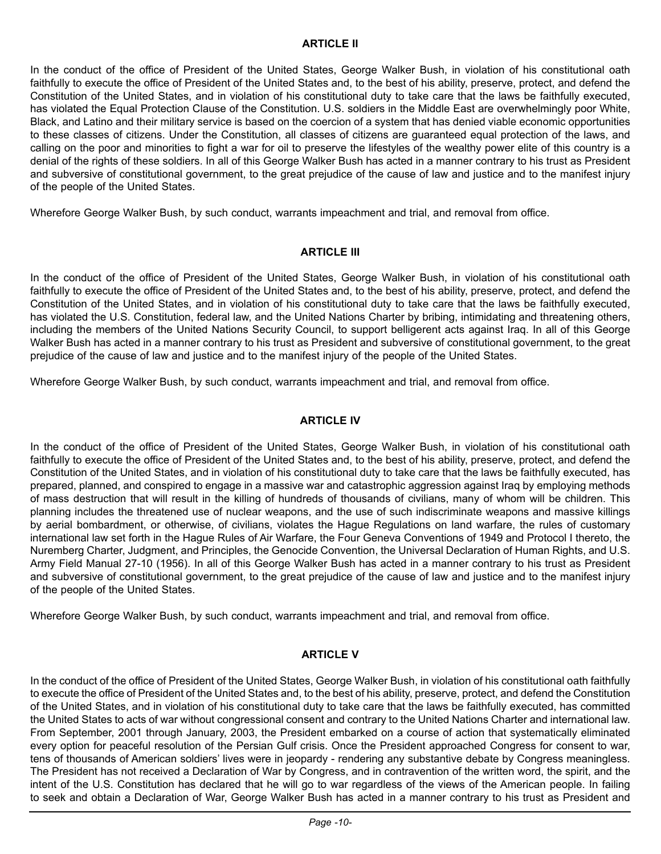#### **ARTICLE II**

In the conduct of the office of President of the United States, George Walker Bush, in violation of his constitutional oath faithfully to execute the office of President of the United States and, to the best of his ability, preserve, protect, and defend the Constitution of the United States, and in violation of his constitutional duty to take care that the laws be faithfully executed, has violated the Equal Protection Clause of the Constitution. U.S. soldiers in the Middle East are overwhelmingly poor White, Black, and Latino and their military service is based on the coercion of a system that has denied viable economic opportunities to these classes of citizens. Under the Constitution, all classes of citizens are guaranteed equal protection of the laws, and calling on the poor and minorities to fight a war for oil to preserve the lifestyles of the wealthy power elite of this country is a denial of the rights of these soldiers. In all of this George Walker Bush has acted in a manner contrary to his trust as President and subversive of constitutional government, to the great prejudice of the cause of law and justice and to the manifest injury of the people of the United States.

Wherefore George Walker Bush, by such conduct, warrants impeachment and trial, and removal from office.

#### **ARTICLE III**

In the conduct of the office of President of the United States, George Walker Bush, in violation of his constitutional oath faithfully to execute the office of President of the United States and, to the best of his ability, preserve, protect, and defend the Constitution of the United States, and in violation of his constitutional duty to take care that the laws be faithfully executed, has violated the U.S. Constitution, federal law, and the United Nations Charter by bribing, intimidating and threatening others, including the members of the United Nations Security Council, to support belligerent acts against Iraq. In all of this George Walker Bush has acted in a manner contrary to his trust as President and subversive of constitutional government, to the great prejudice of the cause of law and justice and to the manifest injury of the people of the United States.

Wherefore George Walker Bush, by such conduct, warrants impeachment and trial, and removal from office.

#### **ARTICLE IV**

In the conduct of the office of President of the United States, George Walker Bush, in violation of his constitutional oath faithfully to execute the office of President of the United States and, to the best of his ability, preserve, protect, and defend the Constitution of the United States, and in violation of his constitutional duty to take care that the laws be faithfully executed, has prepared, planned, and conspired to engage in a massive war and catastrophic aggression against Iraq by employing methods of mass destruction that will result in the killing of hundreds of thousands of civilians, many of whom will be children. This planning includes the threatened use of nuclear weapons, and the use of such indiscriminate weapons and massive killings by aerial bombardment, or otherwise, of civilians, violates the Hague Regulations on land warfare, the rules of customary international law set forth in the Hague Rules of Air Warfare, the Four Geneva Conventions of 1949 and Protocol I thereto, the Nuremberg Charter, Judgment, and Principles, the Genocide Convention, the Universal Declaration of Human Rights, and U.S. Army Field Manual 27-10 (1956). In all of this George Walker Bush has acted in a manner contrary to his trust as President and subversive of constitutional government, to the great prejudice of the cause of law and justice and to the manifest injury of the people of the United States.

Wherefore George Walker Bush, by such conduct, warrants impeachment and trial, and removal from office.

#### **ARTICLE V**

In the conduct of the office of President of the United States, George Walker Bush, in violation of his constitutional oath faithfully to execute the office of President of the United States and, to the best of his ability, preserve, protect, and defend the Constitution of the United States, and in violation of his constitutional duty to take care that the laws be faithfully executed, has committed the United States to acts of war without congressional consent and contrary to the United Nations Charter and international law. From September, 2001 through January, 2003, the President embarked on a course of action that systematically eliminated every option for peaceful resolution of the Persian Gulf crisis. Once the President approached Congress for consent to war, tens of thousands of American soldiers' lives were in jeopardy - rendering any substantive debate by Congress meaningless. The President has not received a Declaration of War by Congress, and in contravention of the written word, the spirit, and the intent of the U.S. Constitution has declared that he will go to war regardless of the views of the American people. In failing to seek and obtain a Declaration of War, George Walker Bush has acted in a manner contrary to his trust as President and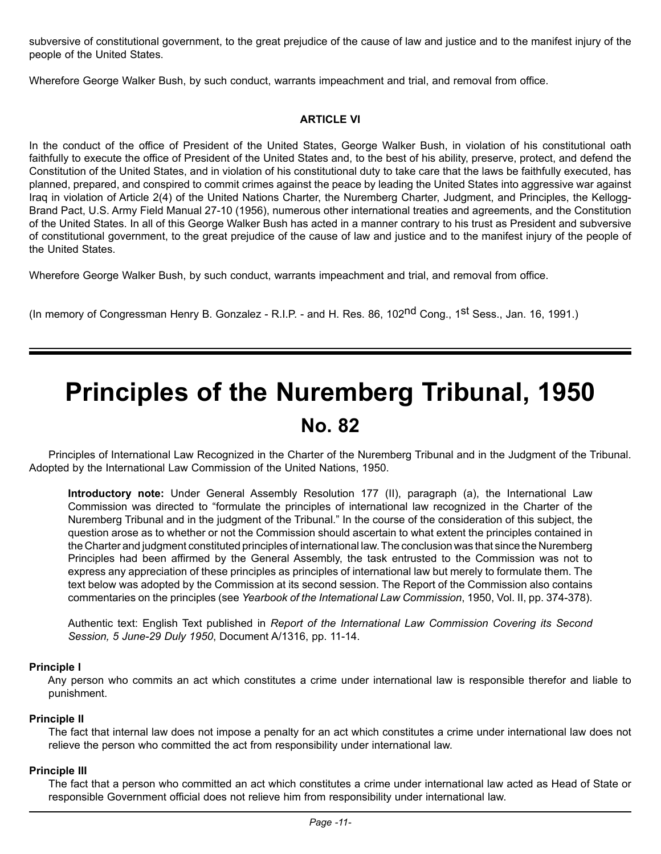subversive of constitutional government, to the great prejudice of the cause of law and justice and to the manifest injury of the people of the United States.

Wherefore George Walker Bush, by such conduct, warrants impeachment and trial, and removal from office.

#### **ARTICLE VI**

In the conduct of the office of President of the United States, George Walker Bush, in violation of his constitutional oath faithfully to execute the office of President of the United States and, to the best of his ability, preserve, protect, and defend the Constitution of the United States, and in violation of his constitutional duty to take care that the laws be faithfully executed, has planned, prepared, and conspired to commit crimes against the peace by leading the United States into aggressive war against Iraq in violation of Article 2(4) of the United Nations Charter, the Nuremberg Charter, Judgment, and Principles, the Kellogg-Brand Pact, U.S. Army Field Manual 27-10 (1956), numerous other international treaties and agreements, and the Constitution of the United States. In all of this George Walker Bush has acted in a manner contrary to his trust as President and subversive of constitutional government, to the great prejudice of the cause of law and justice and to the manifest injury of the people of the United States.

Wherefore George Walker Bush, by such conduct, warrants impeachment and trial, and removal from office.

(In memory of Congressman Henry B. Gonzalez - R.I.P. - and H. Res. 86, 102<sup>nd</sup> Cong., 1<sup>st</sup> Sess., Jan. 16, 1991.)

### **Principles of the Nuremberg Tribunal, 1950 No. 82**

Principles of International Law Recognized in the Charter of the Nuremberg Tribunal and in the Judgment of the Tribunal. Adopted by the International Law Commission of the United Nations, 1950.

**Introductory note:** Under General Assembly Resolution 177 (II), paragraph (a), the International Law Commission was directed to "formulate the principles of international law recognized in the Charter of the Nuremberg Tribunal and in the judgment of the Tribunal." In the course of the consideration of this subject, the question arose as to whether or not the Commission should ascertain to what extent the principles contained in the Charter and judgment constituted principles of international law. The conclusion was that since the Nuremberg Principles had been affirmed by the General Assembly, the task entrusted to the Commission was not to express any appreciation of these principles as principles of international law but merely to formulate them. The text below was adopted by the Commission at its second session. The Report of the Commission also contains commentaries on the principles (see *Yearbook of the Intemational Law Commission*, 1950, Vol. II, pp. 374-378).

Authentic text: English Text published in *Report of the International Law Commission Covering its Second Session, 5 June-29 Duly 1950*, Document A/1316, pp. 11-14.

#### **Principle I**

Any person who commits an act which constitutes a crime under international law is responsible therefor and liable to punishment.

#### **Principle II**

The fact that internal law does not impose a penalty for an act which constitutes a crime under international law does not relieve the person who committed the act from responsibility under international law.

#### **Principle III**

The fact that a person who committed an act which constitutes a crime under international law acted as Head of State or responsible Government official does not relieve him from responsibility under international law.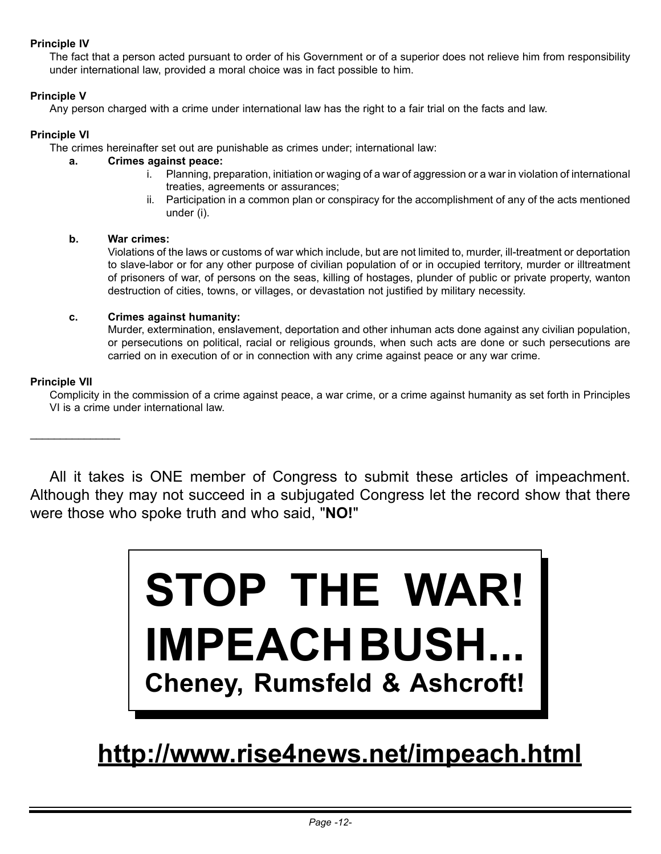#### **Principle IV**

The fact that a person acted pursuant to order of his Government or of a superior does not relieve him from responsibility under international law, provided a moral choice was in fact possible to him.

#### **Principle V**

Any person charged with a crime under international law has the right to a fair trial on the facts and law.

#### **Principle Vl**

The crimes hereinafter set out are punishable as crimes under; international law:

#### **a. Crimes against peace:**

- i. Planning, preparation, initiation or waging of a war of aggression or a war in violation of international treaties, agreements or assurances;
- ii. Participation in a common plan or conspiracy for the accomplishment of any of the acts mentioned under (i).

#### **b. War crimes:**

Violations of the laws or customs of war which include, but are not limited to, murder, ill-treatment or deportation to slave-labor or for any other purpose of civilian population of or in occupied territory, murder or illtreatment of prisoners of war, of persons on the seas, killing of hostages, plunder of public or private property, wanton destruction of cities, towns, or villages, or devastation not justified by military necessity.

#### **c. Crimes against humanity:**

Murder, extermination, enslavement, deportation and other inhuman acts done against any civilian population, or persecutions on political, racial or religious grounds, when such acts are done or such persecutions are carried on in execution of or in connection with any crime against peace or any war crime.

#### **Principle VII**

 $\mathcal{L}$  , we have the set of  $\mathcal{L}$ 

Complicity in the commission of a crime against peace, a war crime, or a crime against humanity as set forth in Principles VI is a crime under international law.

All it takes is ONE member of Congress to submit these articles of impeachment. Although they may not succeed in a subjugated Congress let the record show that there were those who spoke truth and who said, "**NO!**"



### **<http://www.rise4news.net/impeach.html>**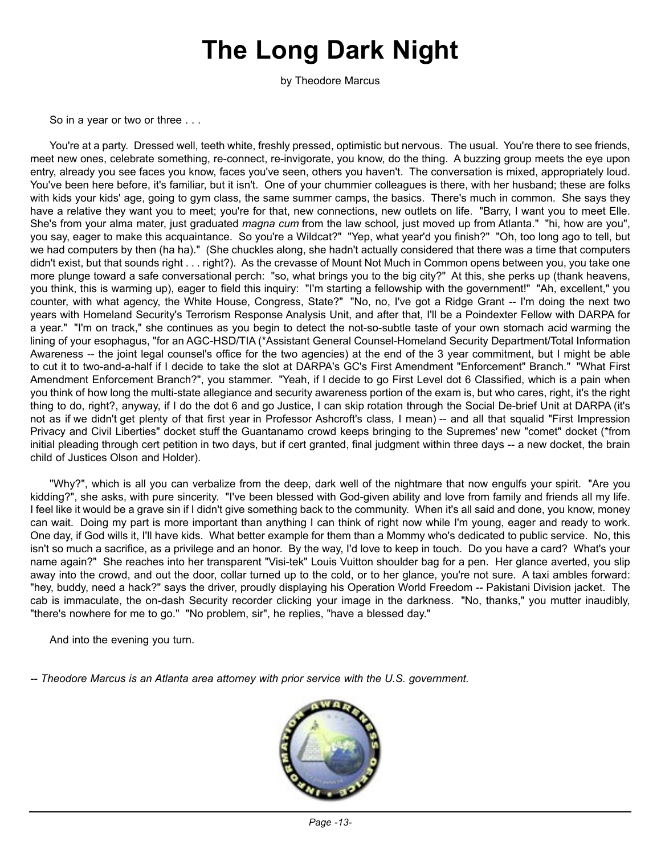# **The Long Dark Night**

by Theodore Marcus

So in a year or two or three . . .

You're at a party. Dressed well, teeth white, freshly pressed, optimistic but nervous. The usual. You're there to see friends, meet new ones, celebrate something, re-connect, re-invigorate, you know, do the thing. A buzzing group meets the eye upon entry, already you see faces you know, faces you've seen, others you haven't. The conversation is mixed, appropriately loud. You've been here before, it's familiar, but it isn't. One of your chummier colleagues is there, with her husband; these are folks with kids your kids' age, going to gym class, the same summer camps, the basics. There's much in common. She says they have a relative they want you to meet; you're for that, new connections, new outlets on life. "Barry, I want you to meet Elle. She's from your alma mater, just graduated *magna cum* from the law school*,* just moved up from Atlanta." "hi, how are you", you say, eager to make this acquaintance. So you're a Wildcat?" "Yep, what year'd you finish?" "Oh, too long ago to tell, but we had computers by then (ha ha)." (She chuckles along, she hadn't actually considered that there was a time that computers didn't exist, but that sounds right . . . right?). As the crevasse of Mount Not Much in Common opens between you, you take one more plunge toward a safe conversational perch: "so, what brings you to the big city?" At this, she perks up (thank heavens, you think, this is warming up), eager to field this inquiry: "I'm starting a fellowship with the government!" "Ah, excellent," you counter, with what agency, the White House, Congress, State?" "No, no, I've got a Ridge Grant -- I'm doing the next two years with Homeland Security's Terrorism Response Analysis Unit, and after that, I'll be a Poindexter Fellow with DARPA for a year." "I'm on track," she continues as you begin to detect the not-so-subtle taste of your own stomach acid warming the lining of your esophagus, "for an AGC-HSD/TIA (\*Assistant General Counsel-Homeland Security Department/Total Information Awareness -- the joint legal counsel's office for the two agencies) at the end of the 3 year commitment, but I might be able to cut it to two-and-a-half if I decide to take the slot at DARPA's GC's First Amendment "Enforcement" Branch." "What First Amendment Enforcement Branch?", you stammer. "Yeah, if I decide to go First Level dot 6 Classified, which is a pain when you think of how long the multi-state allegiance and security awareness portion of the exam is, but who cares, right, it's the right thing to do, right?, anyway, if I do the dot 6 and go Justice, I can skip rotation through the Social De-brief Unit at DARPA (it's not as if we didn't get plenty of that first year in Professor Ashcroft's class, I mean) -- and all that squalid "First Impression Privacy and Civil Liberties" docket stuff the Guantanamo crowd keeps bringing to the Supremes' new "comet" docket (\*from initial pleading through cert petition in two days, but if cert granted, final judgment within three days -- a new docket, the brain child of Justices Olson and Holder).

"Why?", which is all you can verbalize from the deep, dark well of the nightmare that now engulfs your spirit. "Are you kidding?", she asks, with pure sincerity. "I've been blessed with God-given ability and love from family and friends all my life. I feel like it would be a grave sin if I didn't give something back to the community. When it's all said and done, you know, money can wait. Doing my part is more important than anything I can think of right now while I'm young, eager and ready to work. One day, if God wills it, I'll have kids. What better example for them than a Mommy who's dedicated to public service. No, this isn't so much a sacrifice, as a privilege and an honor. By the way, I'd love to keep in touch. Do you have a card? What's your name again?" She reaches into her transparent "Visi-tek" Louis Vuitton shoulder bag for a pen. Her glance averted, you slip away into the crowd, and out the door, collar turned up to the cold, or to her glance, you're not sure. A taxi ambles forward: "hey, buddy, need a hack?" says the driver, proudly displaying his Operation World Freedom -- Pakistani Division jacket. The cab is immaculate, the on-dash Security recorder clicking your image in the darkness. "No, thanks," you mutter inaudibly, "there's nowhere for me to go." "No problem, sir", he replies, "have a blessed day."

And into the evening you turn.

*-- Theodore Marcus is an Atlanta area attorney with prior service with the U.S. government.*

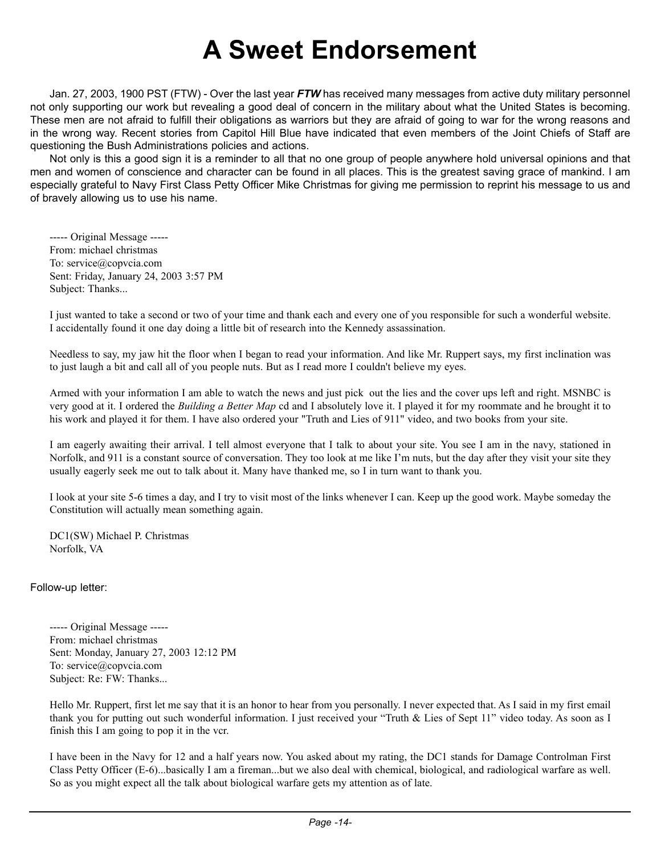## **A Sweet Endorsement**

Jan. 27, 2003, 1900 PST (FTW) - Over the last year *FTW* has received many messages from active duty military personnel not only supporting our work but revealing a good deal of concern in the military about what the United States is becoming. These men are not afraid to fulfill their obligations as warriors but they are afraid of going to war for the wrong reasons and in the wrong way. Recent stories from Capitol Hill Blue have indicated that even members of the Joint Chiefs of Staff are questioning the Bush Administrations policies and actions.

Not only is this a good sign it is a reminder to all that no one group of people anywhere hold universal opinions and that men and women of conscience and character can be found in all places. This is the greatest saving grace of mankind. I am especially grateful to Navy First Class Petty Officer Mike Christmas for giving me permission to reprint his message to us and of bravely allowing us to use his name.

----- Original Message ----- From: michael christmas To: service@copvcia.com Sent: Friday, January 24, 2003 3:57 PM Subject: Thanks...

I just wanted to take a second or two of your time and thank each and every one of you responsible for such a wonderful website. I accidentally found it one day doing a little bit of research into the Kennedy assassination.

Needless to say, my jaw hit the floor when I began to read your information. And like Mr. Ruppert says, my first inclination was to just laugh a bit and call all of you people nuts. But as I read more I couldn't believe my eyes.

Armed with your information I am able to watch the news and just pick out the lies and the cover ups left and right. MSNBC is very good at it. I ordered the *Building a Better Map* cd and I absolutely love it. I played it for my roommate and he brought it to his work and played it for them. I have also ordered your "Truth and Lies of 911" video, and two books from your site.

I am eagerly awaiting their arrival. I tell almost everyone that I talk to about your site. You see I am in the navy, stationed in Norfolk, and 911 is a constant source of conversation. They too look at me like I'm nuts, but the day after they visit your site they usually eagerly seek me out to talk about it. Many have thanked me, so I in turn want to thank you.

I look at your site 5-6 times a day, and I try to visit most of the links whenever I can. Keep up the good work. Maybe someday the Constitution will actually mean something again.

DC1(SW) Michael P. Christmas Norfolk, VA

#### Follow-up letter:

----- Original Message ----- From: michael christmas Sent: Monday, January 27, 2003 12:12 PM To: service@copvcia.com Subject: Re: FW: Thanks...

Hello Mr. Ruppert, first let me say that it is an honor to hear from you personally. I never expected that. As I said in my first email thank you for putting out such wonderful information. I just received your "Truth & Lies of Sept 11" video today. As soon as I finish this I am going to pop it in the vcr.

I have been in the Navy for 12 and a half years now. You asked about my rating, the DC1 stands for Damage Controlman First Class Petty Officer (E-6)...basically I am a fireman...but we also deal with chemical, biological, and radiological warfare as well. So as you might expect all the talk about biological warfare gets my attention as of late.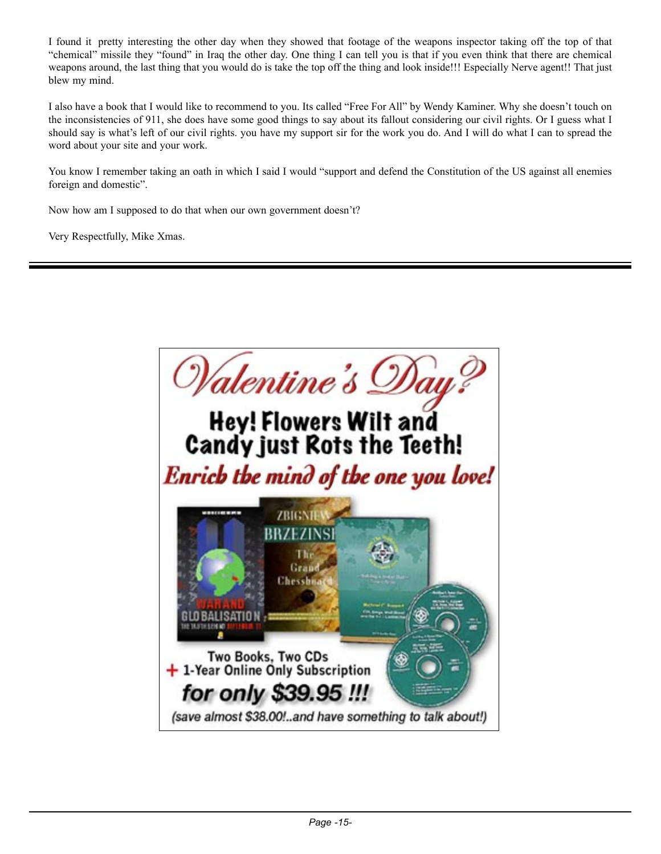I found it pretty interesting the other day when they showed that footage of the weapons inspector taking off the top of that "chemical" missile they "found" in Iraq the other day. One thing I can tell you is that if you even think that there are chemical weapons around, the last thing that you would do is take the top off the thing and look inside!!! Especially Nerve agent!! That just blew my mind.

I also have a book that I would like to recommend to you. Its called "Free For All" by Wendy Kaminer. Why she doesn't touch on the inconsistencies of 911, she does have some good things to say about its fallout considering our civil rights. Or I guess what I should say is what's left of our civil rights. you have my support sir for the work you do. And I will do what I can to spread the word about your site and your work.

You know I remember taking an oath in which I said I would "support and defend the Constitution of the US against all enemies foreign and domestic".

Now how am I supposed to do that when our own government doesn't?

Very Respectfully, Mike Xmas.